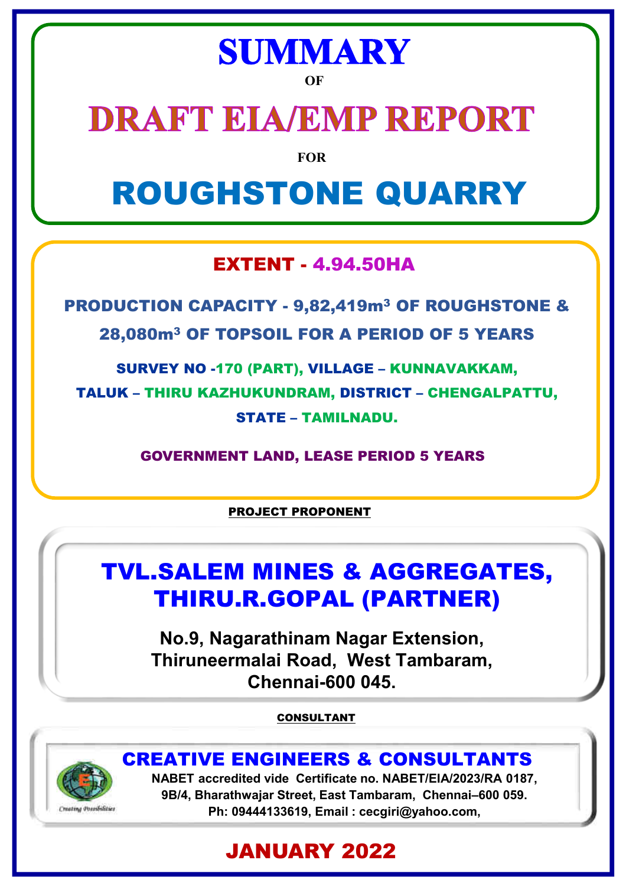# **SUMMARY**

**OF**

# **DRAFT EIA/EMP REPORT**

**FOR**

# ROUGHSTONE QUARRY

# EXTENT - 4.94.50HA

PRODUCTION CAPACITY - 9,82,419m<sup>3</sup> OF ROUGHSTONE & 28,080m<sup>3</sup> OF TOPSOIL FOR A PERIOD OF 5 YEARS

SURVEY NO -170 (PART), VILLAGE – KUNNAVAKKAM, TALUK – THIRU KAZHUKUNDRAM, DISTRICT – CHENGALPATTU, STATE – TAMILNADU.

GOVERNMENT LAND, LEASE PERIOD 5 YEARS

PROJECT PROPONENT

# TVL.SALEM MINES & AGGREGATES, THIRU.R.GOPAL (PARTNER)

**No.9, Nagarathinam Nagar Extension, Thiruneermalai Road, West Tambaram, Chennai-600 045.**

CONSULTANT



**NABET accredited vide Certificate no. NABET/EIA/2023/RA 0187,** CREATIVE ENGINEERS & CONSULTANTS

**9B/4, Bharathwajar Street, East Tambaram, Chennai–600 059. Ph: 09444133619, Email : cecgiri@yahoo.com,**

# JANUARY 2022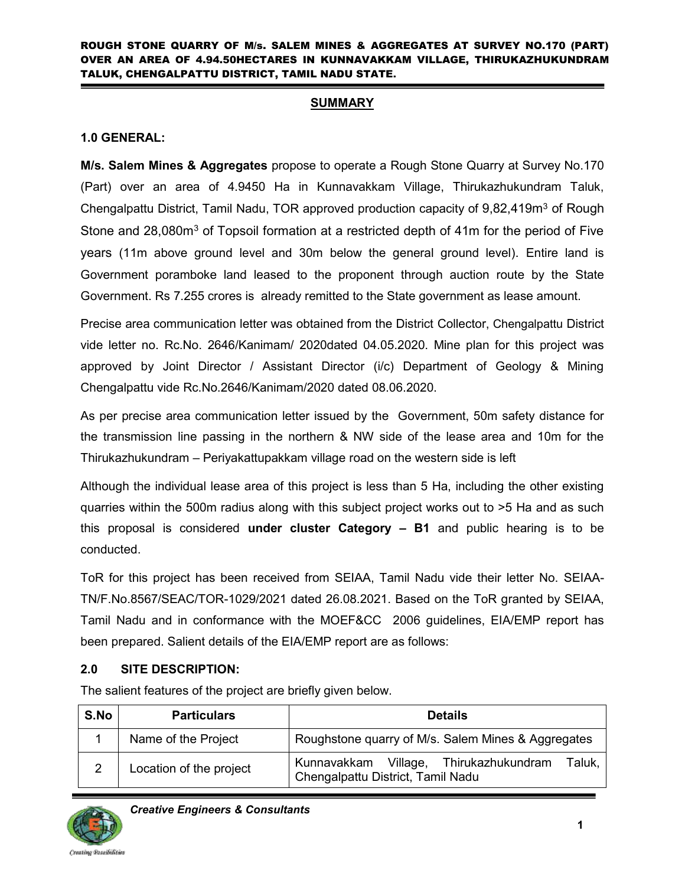#### **SUMMARY**

#### **1.0 GENERAL:**

**M/s. Salem Mines & Aggregates** propose to operate a Rough Stone Quarry at Survey No.170 (Part) over an area of 4.9450 Ha in Kunnavakkam Village, Thirukazhukundram Taluk, Chengalpattu District, Tamil Nadu, TOR approved production capacity of 9,82,419m<sup>3</sup> of Rough Stone and 28,080m<sup>3</sup> of Topsoil formation at a restricted depth of 41m for the period of Five years (11m above ground level and 30m below the general ground level). Entire land is Government poramboke land leased to the proponent through auction route by the State Government. Rs 7.255 crores is already remitted to the State government as lease amount.

Precise area communication letter was obtained from the District Collector, Chengalpattu District vide letter no. Rc.No. 2646/Kanimam/ 2020dated 04.05.2020. Mine plan for this project was approved by Joint Director / Assistant Director (i/c) Department of Geology & Mining Chengalpattu vide Rc.No.2646/Kanimam/2020 dated 08.06.2020.

As per precise area communication letter issued by the Government, 50m safety distance for the transmission line passing in the northern & NW side of the lease area and 10m for the Thirukazhukundram – Periyakattupakkam village road on the western side is left

Although the individual lease area of this project is less than 5 Ha, including the other existing quarries within the 500m radius along with this subject project works out to >5 Ha and as such this proposal is considered **under cluster Category – B1** and public hearing is to be conducted.

ToR for this project has been received from SEIAA, Tamil Nadu vide their letter No. SEIAA-TN/F.No.8567/SEAC/TOR-1029/2021 dated 26.08.2021. Based on the ToR granted by SEIAA, Tamil Nadu and in conformance with the MOEF&CC 2006 guidelines, EIA/EMP report has been prepared. Salient details of the EIA/EMP report are as follows:

# **2.0 SITE DESCRIPTION:**

The salient features of the project are briefly given below.

| S.No | <b>Particulars</b>      | <b>Details</b>                                                                        |  |  |  |  |  |
|------|-------------------------|---------------------------------------------------------------------------------------|--|--|--|--|--|
|      | Name of the Project     | Roughstone quarry of M/s. Salem Mines & Aggregates                                    |  |  |  |  |  |
|      | Location of the project | Kunnavakkam Village, Thirukazhukundram<br>Taluk.<br>Chengalpattu District, Tamil Nadu |  |  |  |  |  |

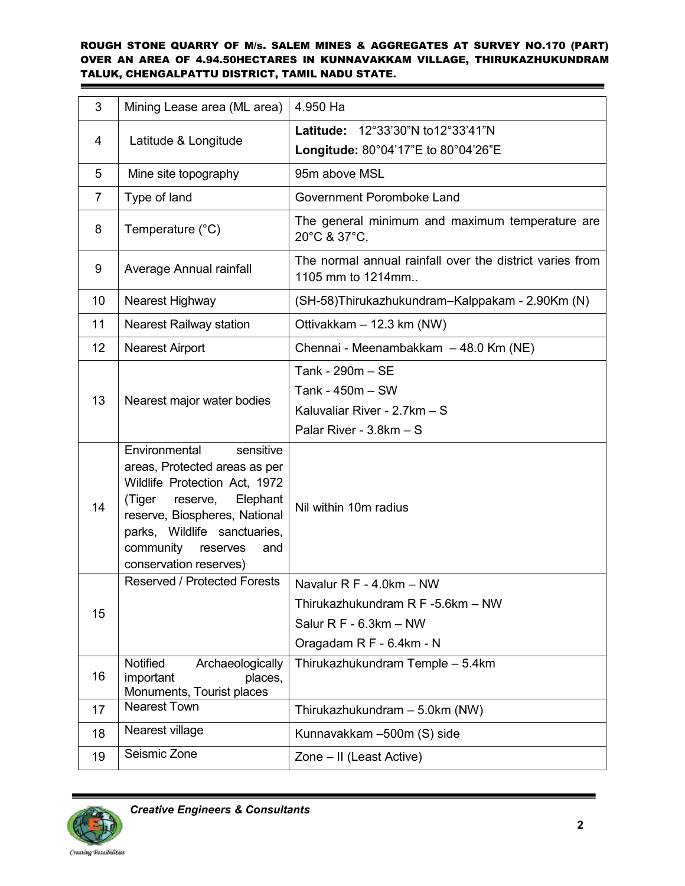| 3               | Mining Lease area (ML area)                                                                                                                                                                                                                               | 4.950 Ha                                                                                                              |
|-----------------|-----------------------------------------------------------------------------------------------------------------------------------------------------------------------------------------------------------------------------------------------------------|-----------------------------------------------------------------------------------------------------------------------|
| 4               |                                                                                                                                                                                                                                                           | Latitude: 12°33'30"N to12°33'41"N                                                                                     |
|                 | Latitude & Longitude                                                                                                                                                                                                                                      | Longitude: 80°04'17"E to 80°04'26"E                                                                                   |
| 5               | Mine site topography                                                                                                                                                                                                                                      | 95m above MSL                                                                                                         |
| 7               | Type of land                                                                                                                                                                                                                                              | Government Poromboke Land                                                                                             |
| 8               | Temperature (°C)                                                                                                                                                                                                                                          | The general minimum and maximum temperature are<br>20°C & 37°C.                                                       |
| 9               | Average Annual rainfall                                                                                                                                                                                                                                   | The normal annual rainfall over the district varies from<br>1105 mm to 1214mm                                         |
| 10              | Nearest Highway                                                                                                                                                                                                                                           | (SH-58)Thirukazhukundram-Kalppakam - 2.90Km (N)                                                                       |
| 11              | <b>Nearest Railway station</b>                                                                                                                                                                                                                            | Ottivakkam - 12.3 km (NW)                                                                                             |
| 12 <sup>°</sup> | <b>Nearest Airport</b>                                                                                                                                                                                                                                    | Chennai - Meenambakkam - 48.0 Km (NE)                                                                                 |
| 13              | Nearest major water bodies                                                                                                                                                                                                                                | Tank - 290m - SE<br>Tank - 450m - SW<br>Kaluvaliar River - 2.7km - S<br>Palar River - $3.8km - S$                     |
| 14              | sensitive<br>Environmental<br>areas, Protected areas as per<br>Wildlife Protection Act, 1972<br>(Tiger<br>reserve,<br>Elephant<br>reserve, Biospheres, National<br>parks, Wildlife sanctuaries,<br>community<br>reserves<br>and<br>conservation reserves) | Nil within 10m radius                                                                                                 |
| 15              | <b>Reserved / Protected Forests</b>                                                                                                                                                                                                                       | Navalur R F - 4.0km - NW<br>Thirukazhukundram R F -5.6km - NW<br>Salur $R F - 6.3km - NW$<br>Oragadam R F - 6.4km - N |
| 16              | Notified<br>Archaeologically<br>important<br>places,<br>Monuments, Tourist places                                                                                                                                                                         | Thirukazhukundram Temple - 5.4km                                                                                      |
| 17              | <b>Nearest Town</b>                                                                                                                                                                                                                                       | Thirukazhukundram - 5.0km (NW)                                                                                        |
| 18              | Nearest village                                                                                                                                                                                                                                           | Kunnavakkam -500m (S) side                                                                                            |
| 19              | Seismic Zone                                                                                                                                                                                                                                              | Zone - II (Least Active)                                                                                              |



<u> Listen van de Bergen van de Bergen van de Bergen van de Bergen van de Bergen van de Bergen van de Bergen van de Bergen van de Bergen van de Bergen van de Bergen van de Bergen van de Bergen van de Bergen van de Bergen van</u>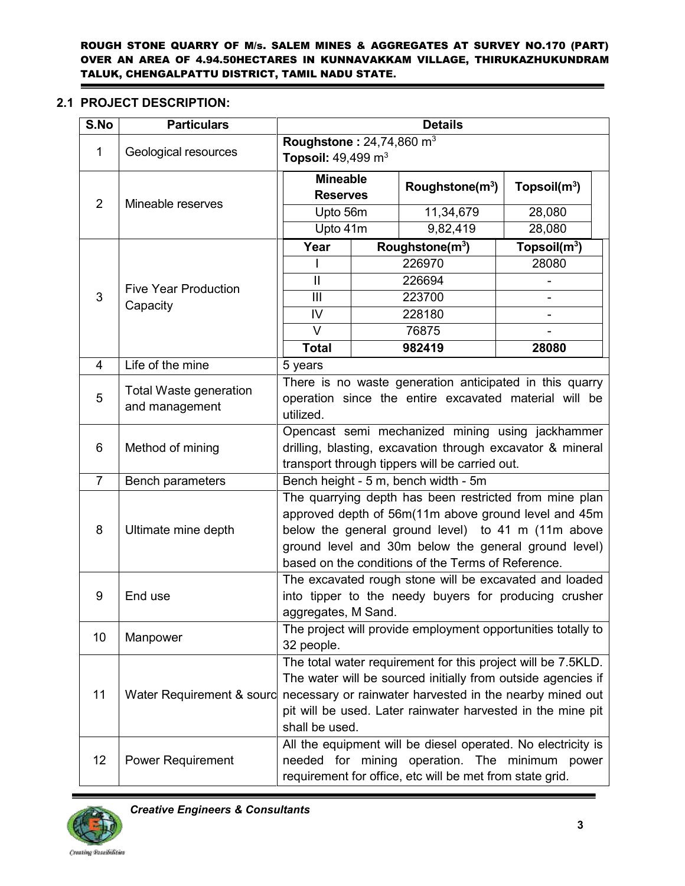# **2.1 PROJECT DESCRIPTION:**

| S.No           | <b>Particulars</b>                       | <b>Details</b>                                                                                                                                                                                                                                                                     |  |                                                                                                                  |                          |  |  |
|----------------|------------------------------------------|------------------------------------------------------------------------------------------------------------------------------------------------------------------------------------------------------------------------------------------------------------------------------------|--|------------------------------------------------------------------------------------------------------------------|--------------------------|--|--|
| 1              | Geological resources                     | Roughstone: $24,74,860$ m <sup>3</sup><br>Topsoil: $49,499 \text{ m}^3$                                                                                                                                                                                                            |  |                                                                                                                  |                          |  |  |
| 2              | Mineable reserves                        | <b>Mineable</b><br><b>Reserves</b>                                                                                                                                                                                                                                                 |  | Roughstone( $m^3$ )                                                                                              | Topsoil(m <sup>3</sup> ) |  |  |
|                |                                          | Upto 56m                                                                                                                                                                                                                                                                           |  | 11,34,679                                                                                                        | 28,080                   |  |  |
|                |                                          | Upto 41m                                                                                                                                                                                                                                                                           |  | 9,82,419                                                                                                         | 28,080                   |  |  |
|                |                                          | Year                                                                                                                                                                                                                                                                               |  | Roughstone $(m3)$                                                                                                | Topsoil $(m^3)$          |  |  |
|                |                                          |                                                                                                                                                                                                                                                                                    |  | 226970                                                                                                           | 28080                    |  |  |
|                | <b>Five Year Production</b>              | $\mathbf{II}$                                                                                                                                                                                                                                                                      |  | 226694                                                                                                           |                          |  |  |
| 3              | Capacity                                 | III                                                                                                                                                                                                                                                                                |  | 223700                                                                                                           |                          |  |  |
|                |                                          | IV                                                                                                                                                                                                                                                                                 |  | 228180                                                                                                           |                          |  |  |
|                |                                          | $\vee$                                                                                                                                                                                                                                                                             |  | 76875                                                                                                            |                          |  |  |
|                |                                          | <b>Total</b>                                                                                                                                                                                                                                                                       |  | 982419                                                                                                           | 28080                    |  |  |
| 4              | Life of the mine                         | 5 years                                                                                                                                                                                                                                                                            |  |                                                                                                                  |                          |  |  |
| 5              | Total Waste generation<br>and management | utilized.                                                                                                                                                                                                                                                                          |  | There is no waste generation anticipated in this quarry<br>operation since the entire excavated material will be |                          |  |  |
| 6              | Method of mining                         | Opencast semi mechanized mining using jackhammer<br>drilling, blasting, excavation through excavator & mineral<br>transport through tippers will be carried out.                                                                                                                   |  |                                                                                                                  |                          |  |  |
| $\overline{7}$ | Bench parameters                         | Bench height - 5 m, bench width - 5m                                                                                                                                                                                                                                               |  |                                                                                                                  |                          |  |  |
| 8              | Ultimate mine depth                      | The quarrying depth has been restricted from mine plan<br>approved depth of 56m(11m above ground level and 45m<br>below the general ground level) to 41 m (11m above<br>ground level and 30m below the general ground level)<br>based on the conditions of the Terms of Reference. |  |                                                                                                                  |                          |  |  |
| 9              | End use                                  | The excavated rough stone will be excavated and loaded<br>into tipper to the needy buyers for producing crusher<br>aggregates, M Sand.                                                                                                                                             |  |                                                                                                                  |                          |  |  |
| 10             | Manpower                                 | The project will provide employment opportunities totally to<br>32 people.                                                                                                                                                                                                         |  |                                                                                                                  |                          |  |  |
| 11             | Water Requirement & sourd                | The total water requirement for this project will be 7.5KLD.<br>The water will be sourced initially from outside agencies if<br>necessary or rainwater harvested in the nearby mined out<br>pit will be used. Later rainwater harvested in the mine pit<br>shall be used.          |  |                                                                                                                  |                          |  |  |
| 12             | <b>Power Requirement</b>                 | All the equipment will be diesel operated. No electricity is<br>needed for mining<br>operation. The minimum power<br>requirement for office, etc will be met from state grid.                                                                                                      |  |                                                                                                                  |                          |  |  |



 *Creative Engineers & Consultants* 

ä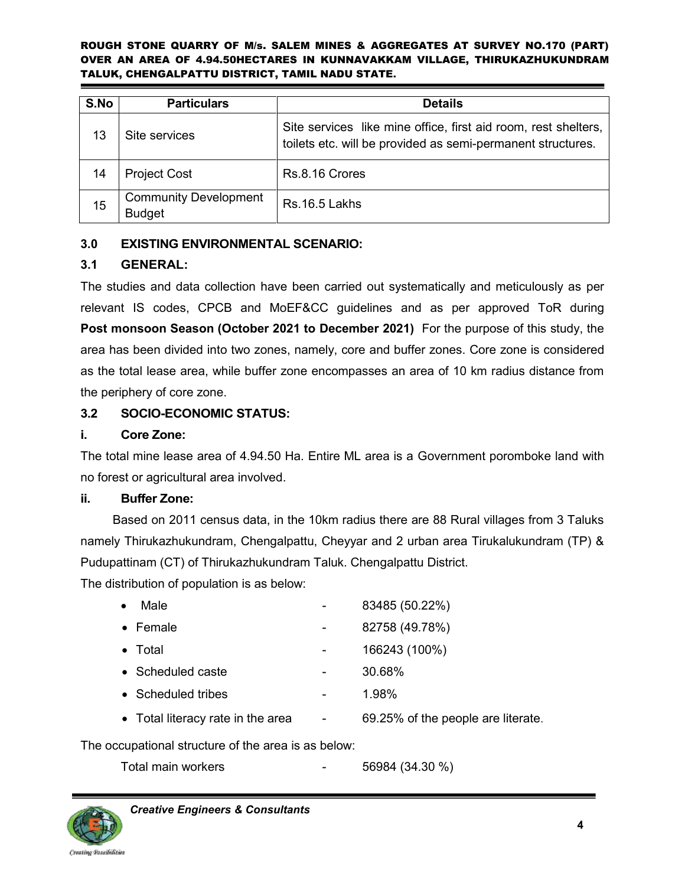| S.No | <b>Particulars</b>                            | <b>Details</b>                                                                                                                |
|------|-----------------------------------------------|-------------------------------------------------------------------------------------------------------------------------------|
| 13   | Site services                                 | Site services like mine office, first aid room, rest shelters,<br>toilets etc. will be provided as semi-permanent structures. |
| 14   | <b>Project Cost</b>                           | Rs.8.16 Crores                                                                                                                |
| 15   | <b>Community Development</b><br><b>Budget</b> | Rs. 16.5 Lakhs                                                                                                                |

# **3.0 EXISTING ENVIRONMENTAL SCENARIO:**

# **3.1 GENERAL:**

The studies and data collection have been carried out systematically and meticulously as per relevant IS codes, CPCB and MoEF&CC guidelines and as per approved ToR during **Post monsoon Season (October 2021 to December 2021)** For the purpose of this study, the area has been divided into two zones, namely, core and buffer zones. Core zone is considered as the total lease area, while buffer zone encompasses an area of 10 km radius distance from the periphery of core zone.

# **3.2 SOCIO-ECONOMIC STATUS:**

# **i. Core Zone:**

The total mine lease area of 4.94.50 Ha. Entire ML area is a Government poromboke land with no forest or agricultural area involved.

# **ii. Buffer Zone:**

Based on 2011 census data, in the 10km radius there are 88 Rural villages from 3 Taluks namely Thirukazhukundram, Chengalpattu, Cheyyar and 2 urban area Tirukalukundram (TP) & Pudupattinam (CT) of Thirukazhukundram Taluk. Chengalpattu District.

The distribution of population is as below:

| Male                              | 83485 (50.22%)                     |
|-----------------------------------|------------------------------------|
| $\bullet$ Female                  | 82758 (49.78%)                     |
| $\bullet$ Total                   | 166243 (100%)                      |
| $\bullet$ Scheduled caste         | 30.68%                             |
| • Scheduled tribes                | 1.98%                              |
| • Total literacy rate in the area | 69.25% of the people are literate. |
|                                   |                                    |

# The occupational structure of the area is as below:

Total main workers **1988** - 56984 (34.30 %)

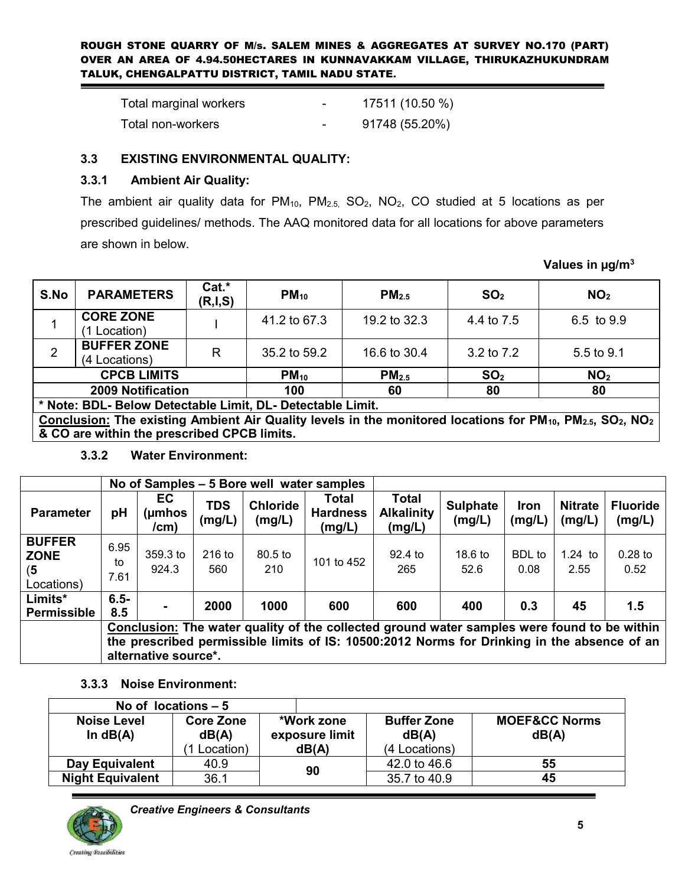| Total marginal workers | $\overline{\phantom{a}}$ | 17511 (10.50 %) |
|------------------------|--------------------------|-----------------|
| Total non-workers      |                          | 91748 (55.20%)  |

# **3.3 EXISTING ENVIRONMENTAL QUALITY:**

# **3.3.1 Ambient Air Quality:**

The ambient air quality data for  $PM_{10}$ ,  $PM_{2.5}$ ,  $SO_2$ ,  $NO_2$ ,  $CO$  studied at 5 locations as per prescribed guidelines/ methods. The AAQ monitored data for all locations for above parameters are shown in below.

S.No PARAMETERS **Cat.\*** (R,I,S)  $\begin{bmatrix} \mathsf{Cat.} \\ (R,I,S) \end{bmatrix}$  **PM**<sub>10</sub> **PM**<sub>2.5</sub> **SO**<sub>2</sub> **NO**<sub>2</sub> 1  $\Big|$  **CORE ZONE**<br>(1 Location) **CORE ZONE** I 41.2 to 67.3 19.2 to 32.3 4.4 to 7.5 6.5 to 9.9 (1 Location) 2 **BUFFER ZONE**<br>(4 Locations)  $(4 \text{ Locations})$  R  $\begin{array}{|l|}$  35.2 to 59.2 16.6 to 30.4 3.2 to 7.2 5.5 to 9.1  $\mathsf{CPCB}\text{ LIMITS}$  **PM**<sub>10</sub> **PM**<sub>2.5</sub> **SO**<sub>2</sub> **NO**<sub>2</sub> **2009 Notification 100 60 80 80 \* Note: BDL- Below Detectable Limit, DL- Detectable Limit. Conclusion: The existing Ambient Air Quality levels in the monitored locations for PM10, PM2.5, SO2, NO<sup>2</sup> & CO are within the prescribed CPCB limits.** 

# **3.3.2 Water Environment:**

|                                                   | No of Samples – 5 Bore well water samples                                                                                                                                                                          |                           |                      |                           |                                    |                                             |                           |                       |                          |                           |
|---------------------------------------------------|--------------------------------------------------------------------------------------------------------------------------------------------------------------------------------------------------------------------|---------------------------|----------------------|---------------------------|------------------------------------|---------------------------------------------|---------------------------|-----------------------|--------------------------|---------------------------|
| <b>Parameter</b>                                  | pH                                                                                                                                                                                                                 | EC<br>$(\mu$ mhos<br>/cm) | <b>TDS</b><br>(mg/L) | <b>Chloride</b><br>(mg/L) | Total<br><b>Hardness</b><br>(mg/L) | <b>Total</b><br><b>Alkalinity</b><br>(mg/L) | <b>Sulphate</b><br>(mg/L) | Iron<br>(mg/L)        | <b>Nitrate</b><br>(mg/L) | <b>Fluoride</b><br>(mg/L) |
| <b>BUFFER</b><br><b>ZONE</b><br>(5)<br>Locations) | 6.95<br>to<br>7.61                                                                                                                                                                                                 | $359.3$ to<br>924.3       | $216$ to<br>560      | $80.5$ to<br>210          | 101 to 452                         | $92.4$ to<br>265                            | $18.6$ to<br>52.6         | <b>BDL</b> to<br>0.08 | $1.24$ to<br>2.55        | $0.28$ to<br>0.52         |
| Limits*<br><b>Permissible</b>                     | $6.5 -$<br>8.5                                                                                                                                                                                                     |                           | 2000                 | 1000                      | 600                                | 600                                         | 400                       | 0.3                   | 45                       | 1.5                       |
|                                                   | Conclusion: The water quality of the collected ground water samples were found to be within<br>the prescribed permissible limits of IS: 10500:2012 Norms for Drinking in the absence of an<br>alternative source*. |                           |                      |                           |                                    |                                             |                           |                       |                          |                           |

# **3.3.3 Noise Environment:**

|                                                               | No of locations $-5$ |                              |                             |                                   |  |
|---------------------------------------------------------------|----------------------|------------------------------|-----------------------------|-----------------------------------|--|
| <b>Noise Level</b><br><b>Core Zone</b><br>In $dB(A)$<br>dB(A) |                      | *Work zone<br>exposure limit | <b>Buffer Zone</b><br>dB(A) | <b>MOEF&amp;CC Norms</b><br>dB(A) |  |
|                                                               | Location)            | dB(A)                        | (4 Locations)               |                                   |  |
| Day Equivalent                                                | 40.9                 | 90                           | 42.0 to 46.6                | 55                                |  |
| <b>Night Equivalent</b>                                       | 36.1                 |                              | 35.7 to 40.9                | 45                                |  |



 *Creative Engineers & Consultants* 

**Values in µg/m<sup>3</sup>**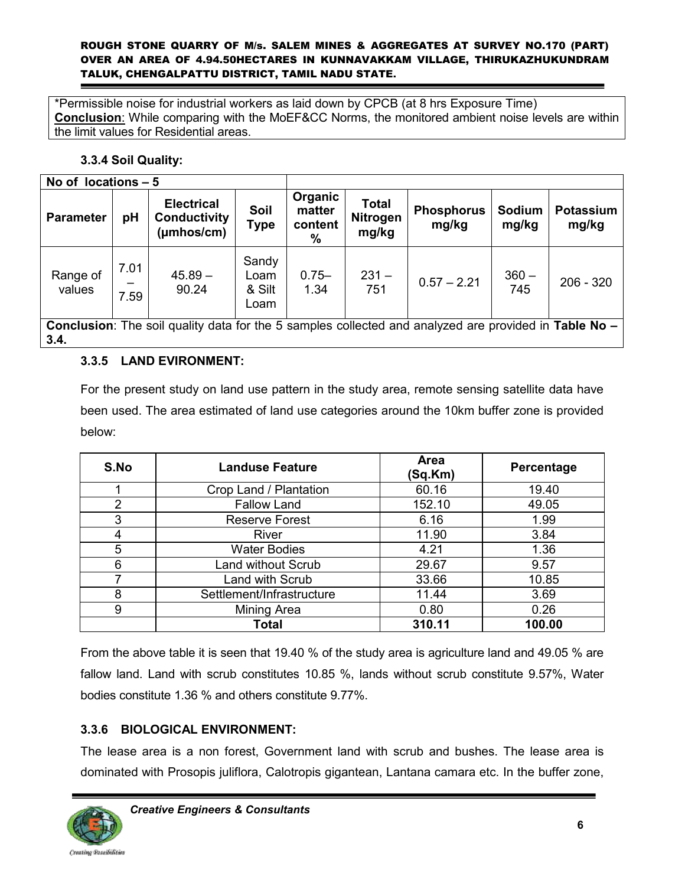\*Permissible noise for industrial workers as laid down by CPCB (at 8 hrs Exposure Time) **Conclusion**: While comparing with the MoEF&CC Norms, the monitored ambient noise levels are within the limit values for Residential areas.

# **3.3.4 Soil Quality:**

| No of locations $-5$                                                                                                 |              |                                                                     |                                 |                                      |                                          |                            |                 |                           |
|----------------------------------------------------------------------------------------------------------------------|--------------|---------------------------------------------------------------------|---------------------------------|--------------------------------------|------------------------------------------|----------------------------|-----------------|---------------------------|
| <b>Parameter</b>                                                                                                     | рH           | <b>Electrical</b><br><b>Conductivity</b><br>$(\mu m \text{hos/cm})$ | Soil<br>Type                    | Organic<br>matter<br>content<br>$\%$ | <b>Total</b><br><b>Nitrogen</b><br>mg/kg | <b>Phosphorus</b><br>mg/kg | Sodium<br>mg/kg | <b>Potassium</b><br>mg/kg |
| Range of<br>values                                                                                                   | 7.01<br>7.59 | $45.89 -$<br>90.24                                                  | Sandy<br>Loam<br>& Silt<br>Loam | $0.75 -$<br>1.34                     | $231 -$<br>751                           | $0.57 - 2.21$              | $360 -$<br>745  | $206 - 320$               |
| <b>Conclusion:</b> The soil quality data for the 5 samples collected and analyzed are provided in Table No –<br>3.4. |              |                                                                     |                                 |                                      |                                          |                            |                 |                           |

# **3.3.5 LAND EVIRONMENT:**

For the present study on land use pattern in the study area, remote sensing satellite data have been used. The area estimated of land use categories around the 10km buffer zone is provided below:

| S.No | <b>Landuse Feature</b>    | <b>Area</b><br>(Sq.Km) | Percentage |
|------|---------------------------|------------------------|------------|
|      | Crop Land / Plantation    | 60.16                  | 19.40      |
| 2    | <b>Fallow Land</b>        | 152.10                 | 49.05      |
| 3    | <b>Reserve Forest</b>     | 6.16                   | 1.99       |
| 4    | River                     | 11.90                  | 3.84       |
| 5    | <b>Water Bodies</b>       | 4.21                   | 1.36       |
| 6    | <b>Land without Scrub</b> | 29.67                  | 9.57       |
|      | Land with Scrub           | 33.66                  | 10.85      |
| 8    | Settlement/Infrastructure | 11.44                  | 3.69       |
| 9    | Mining Area               | 0.80                   | 0.26       |
|      | <b>Total</b>              | 310.11                 | 100.00     |

From the above table it is seen that 19.40 % of the study area is agriculture land and 49.05 % are fallow land. Land with scrub constitutes 10.85 %, lands without scrub constitute 9.57%, Water bodies constitute 1.36 % and others constitute 9.77%.

# **3.3.6 BIOLOGICAL ENVIRONMENT:**

The lease area is a non forest, Government land with scrub and bushes. The lease area is dominated with Prosopis juliflora, Calotropis gigantean, Lantana camara etc. In the buffer zone,

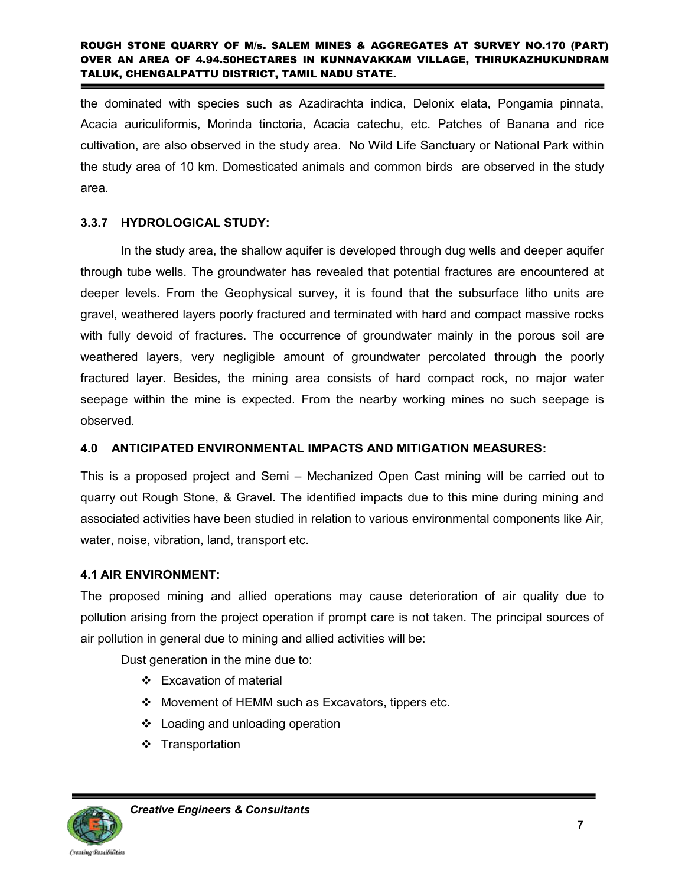the dominated with species such as Azadirachta indica, Delonix elata, Pongamia pinnata, Acacia auriculiformis, Morinda tinctoria, Acacia catechu, etc. Patches of Banana and rice cultivation, are also observed in the study area. No Wild Life Sanctuary or National Park within the study area of 10 km. Domesticated animals and common birds are observed in the study area.

# **3.3.7 HYDROLOGICAL STUDY:**

In the study area, the shallow aquifer is developed through dug wells and deeper aquifer through tube wells. The groundwater has revealed that potential fractures are encountered at deeper levels. From the Geophysical survey, it is found that the subsurface litho units are gravel, weathered layers poorly fractured and terminated with hard and compact massive rocks with fully devoid of fractures. The occurrence of groundwater mainly in the porous soil are weathered layers, very negligible amount of groundwater percolated through the poorly fractured layer. Besides, the mining area consists of hard compact rock, no major water seepage within the mine is expected. From the nearby working mines no such seepage is observed.

# **4.0 ANTICIPATED ENVIRONMENTAL IMPACTS AND MITIGATION MEASURES:**

This is a proposed project and Semi – Mechanized Open Cast mining will be carried out to quarry out Rough Stone, & Gravel. The identified impacts due to this mine during mining and associated activities have been studied in relation to various environmental components like Air, water, noise, vibration, land, transport etc.

# **4.1 AIR ENVIRONMENT:**

The proposed mining and allied operations may cause deterioration of air quality due to pollution arising from the project operation if prompt care is not taken. The principal sources of air pollution in general due to mining and allied activities will be:

Dust generation in the mine due to:

- Excavation of material
- Movement of HEMM such as Excavators, tippers etc.
- Loading and unloading operation
- ❖ Transportation

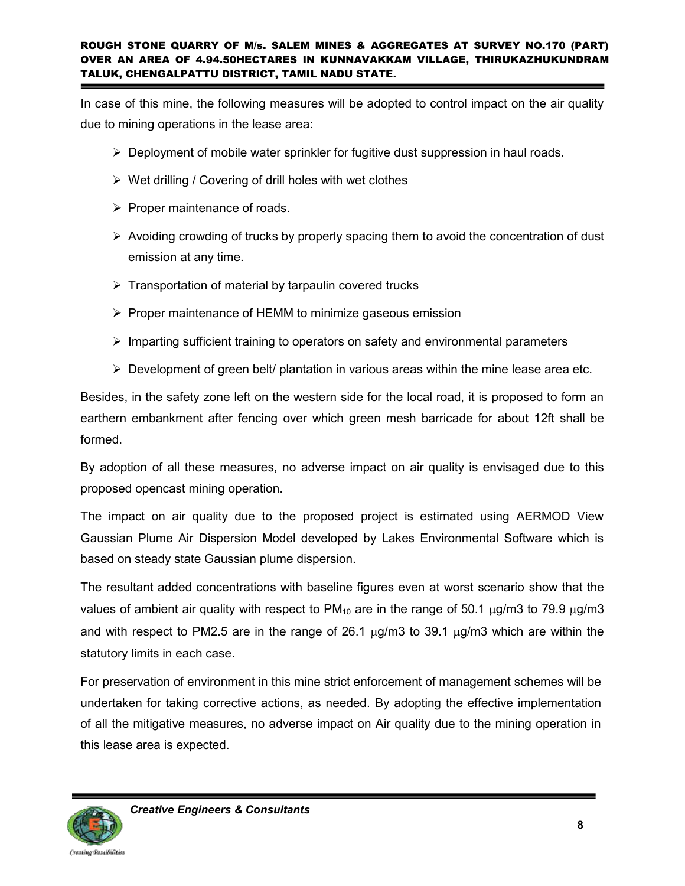In case of this mine, the following measures will be adopted to control impact on the air quality due to mining operations in the lease area:

- $\triangleright$  Deployment of mobile water sprinkler for fugitive dust suppression in haul roads.
- $\triangleright$  Wet drilling / Covering of drill holes with wet clothes
- $\triangleright$  Proper maintenance of roads.
- $\triangleright$  Avoiding crowding of trucks by properly spacing them to avoid the concentration of dust emission at any time.
- $\triangleright$  Transportation of material by tarpaulin covered trucks
- $\triangleright$  Proper maintenance of HEMM to minimize gaseous emission
- $\triangleright$  Imparting sufficient training to operators on safety and environmental parameters
- $\triangleright$  Development of green belt/ plantation in various areas within the mine lease area etc.

Besides, in the safety zone left on the western side for the local road, it is proposed to form an earthern embankment after fencing over which green mesh barricade for about 12ft shall be formed.

By adoption of all these measures, no adverse impact on air quality is envisaged due to this proposed opencast mining operation.

The impact on air quality due to the proposed project is estimated using AERMOD View Gaussian Plume Air Dispersion Model developed by Lakes Environmental Software which is based on steady state Gaussian plume dispersion.

The resultant added concentrations with baseline figures even at worst scenario show that the values of ambient air quality with respect to  $PM_{10}$  are in the range of 50.1  $\mu$ g/m3 to 79.9  $\mu$ g/m3 and with respect to PM2.5 are in the range of 26.1  $\mu$ g/m3 to 39.1  $\mu$ g/m3 which are within the statutory limits in each case.

For preservation of environment in this mine strict enforcement of management schemes will be undertaken for taking corrective actions, as needed. By adopting the effective implementation of all the mitigative measures, no adverse impact on Air quality due to the mining operation in this lease area is expected.

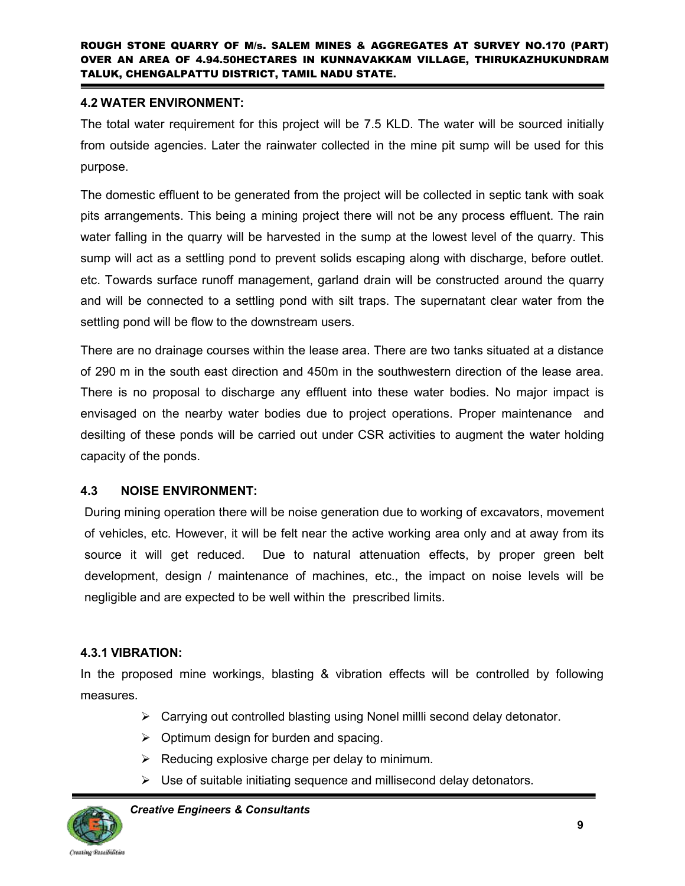# **4.2 WATER ENVIRONMENT:**

The total water requirement for this project will be 7.5 KLD. The water will be sourced initially from outside agencies. Later the rainwater collected in the mine pit sump will be used for this purpose.

The domestic effluent to be generated from the project will be collected in septic tank with soak pits arrangements. This being a mining project there will not be any process effluent. The rain water falling in the quarry will be harvested in the sump at the lowest level of the quarry. This sump will act as a settling pond to prevent solids escaping along with discharge, before outlet. etc. Towards surface runoff management, garland drain will be constructed around the quarry and will be connected to a settling pond with silt traps. The supernatant clear water from the settling pond will be flow to the downstream users.

There are no drainage courses within the lease area. There are two tanks situated at a distance of 290 m in the south east direction and 450m in the southwestern direction of the lease area. There is no proposal to discharge any effluent into these water bodies. No major impact is envisaged on the nearby water bodies due to project operations. Proper maintenance and desilting of these ponds will be carried out under CSR activities to augment the water holding capacity of the ponds.

# **4.3 NOISE ENVIRONMENT:**

During mining operation there will be noise generation due to working of excavators, movement of vehicles, etc. However, it will be felt near the active working area only and at away from its source it will get reduced. Due to natural attenuation effects, by proper green belt development, design / maintenance of machines, etc., the impact on noise levels will be negligible and are expected to be well within the prescribed limits.

# **4.3.1 VIBRATION:**

In the proposed mine workings, blasting & vibration effects will be controlled by following measures.

- $\triangleright$  Carrying out controlled blasting using Nonel milli second delay detonator.
- $\triangleright$  Optimum design for burden and spacing.
- $\triangleright$  Reducing explosive charge per delay to minimum.
- $\triangleright$  Use of suitable initiating sequence and millisecond delay detonators.

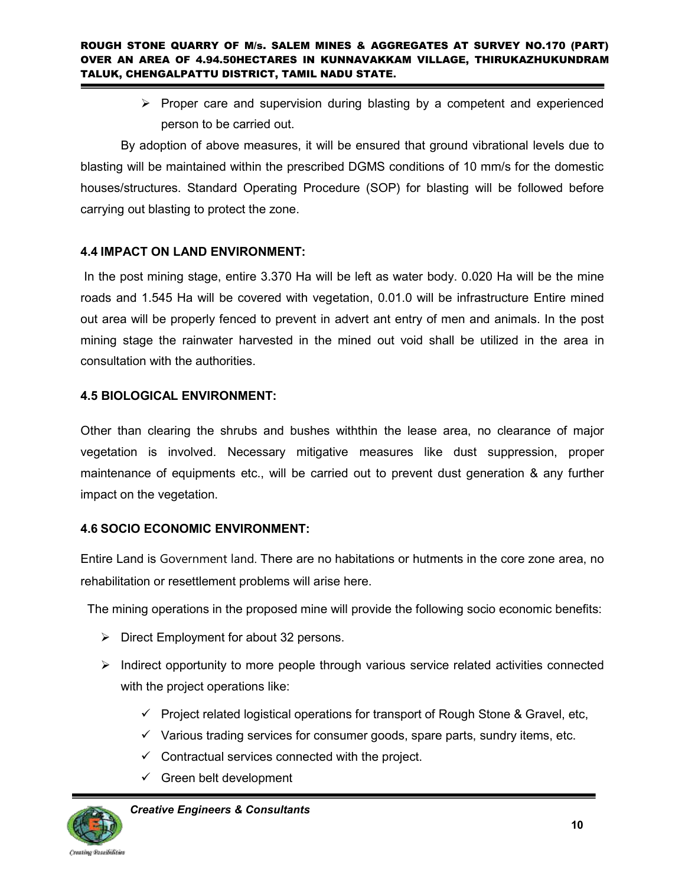$\triangleright$  Proper care and supervision during blasting by a competent and experienced person to be carried out.

By adoption of above measures, it will be ensured that ground vibrational levels due to blasting will be maintained within the prescribed DGMS conditions of 10 mm/s for the domestic houses/structures. Standard Operating Procedure (SOP) for blasting will be followed before carrying out blasting to protect the zone.

# **4.4 IMPACT ON LAND ENVIRONMENT:**

In the post mining stage, entire 3.370 Ha will be left as water body. 0.020 Ha will be the mine roads and 1.545 Ha will be covered with vegetation, 0.01.0 will be infrastructure Entire mined out area will be properly fenced to prevent in advert ant entry of men and animals. In the post mining stage the rainwater harvested in the mined out void shall be utilized in the area in consultation with the authorities.

# **4.5 BIOLOGICAL ENVIRONMENT:**

Other than clearing the shrubs and bushes withthin the lease area, no clearance of major vegetation is involved. Necessary mitigative measures like dust suppression, proper maintenance of equipments etc., will be carried out to prevent dust generation & any further impact on the vegetation.

# **4.6 SOCIO ECONOMIC ENVIRONMENT:**

Entire Land is Government land. There are no habitations or hutments in the core zone area, no rehabilitation or resettlement problems will arise here.

The mining operations in the proposed mine will provide the following socio economic benefits:

- $\triangleright$  Direct Employment for about 32 persons.
- $\triangleright$  Indirect opportunity to more people through various service related activities connected with the project operations like:
	- $\checkmark$  Project related logistical operations for transport of Rough Stone & Gravel, etc,
	- $\checkmark$  Various trading services for consumer goods, spare parts, sundry items, etc.
	- $\checkmark$  Contractual services connected with the project.
	- $\checkmark$  Green belt development

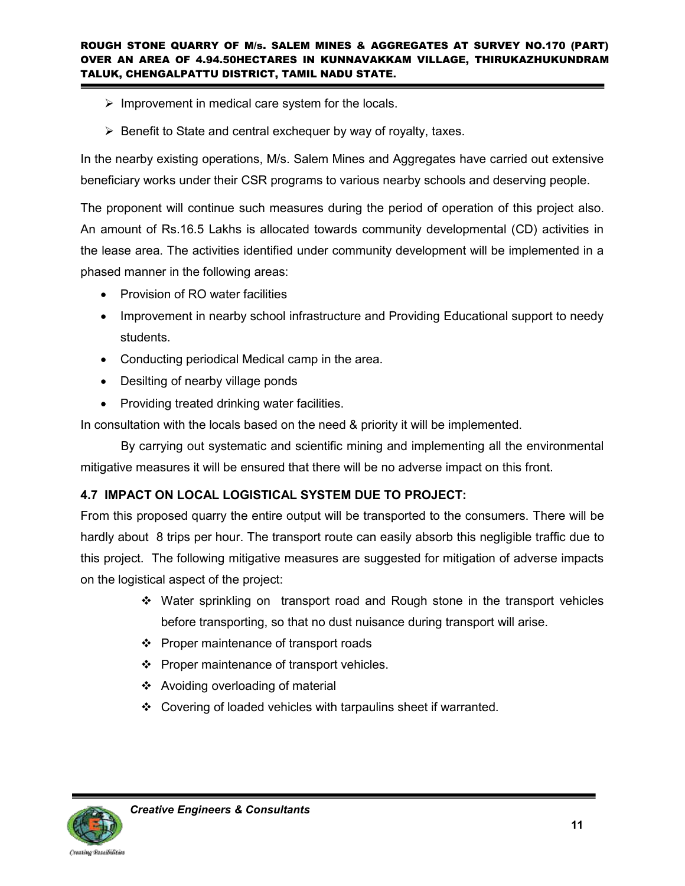- $\triangleright$  Improvement in medical care system for the locals.
- $\triangleright$  Benefit to State and central exchequer by way of royalty, taxes.

In the nearby existing operations, M/s. Salem Mines and Aggregates have carried out extensive beneficiary works under their CSR programs to various nearby schools and deserving people.

The proponent will continue such measures during the period of operation of this project also. An amount of Rs.16.5 Lakhs is allocated towards community developmental (CD) activities in the lease area. The activities identified under community development will be implemented in a phased manner in the following areas:

- Provision of RO water facilities
- Improvement in nearby school infrastructure and Providing Educational support to needy students.
- Conducting periodical Medical camp in the area.
- Desilting of nearby village ponds
- Providing treated drinking water facilities.

In consultation with the locals based on the need & priority it will be implemented.

By carrying out systematic and scientific mining and implementing all the environmental mitigative measures it will be ensured that there will be no adverse impact on this front.

# **4.7 IMPACT ON LOCAL LOGISTICAL SYSTEM DUE TO PROJECT:**

From this proposed quarry the entire output will be transported to the consumers. There will be hardly about 8 trips per hour. The transport route can easily absorb this negligible traffic due to this project. The following mitigative measures are suggested for mitigation of adverse impacts on the logistical aspect of the project:

- Water sprinkling on transport road and Rough stone in the transport vehicles before transporting, so that no dust nuisance during transport will arise.
- ❖ Proper maintenance of transport roads
- ❖ Proper maintenance of transport vehicles.
- Avoiding overloading of material
- Covering of loaded vehicles with tarpaulins sheet if warranted.

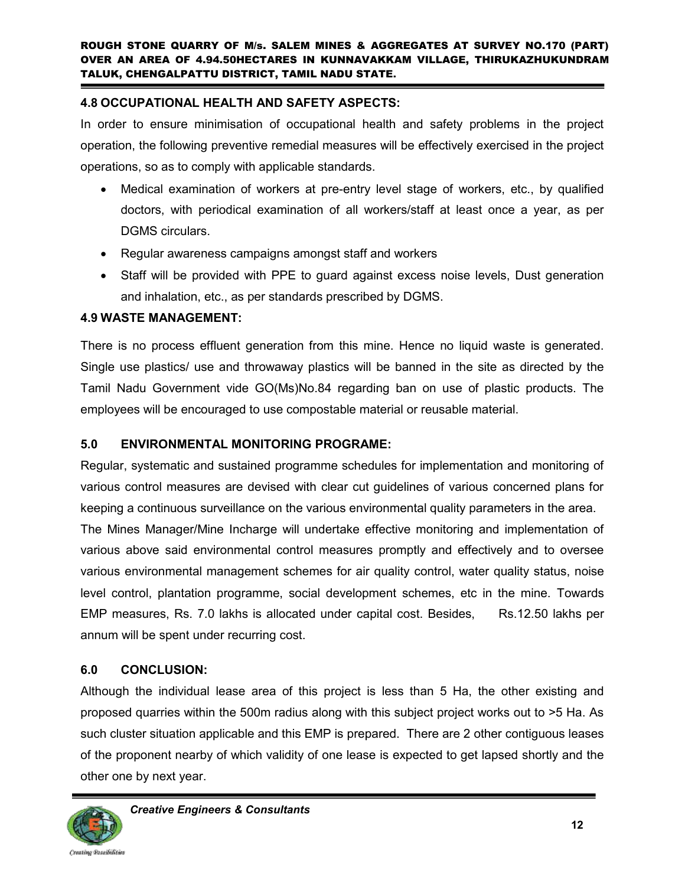# **4.8 OCCUPATIONAL HEALTH AND SAFETY ASPECTS:**

In order to ensure minimisation of occupational health and safety problems in the project operation, the following preventive remedial measures will be effectively exercised in the project operations, so as to comply with applicable standards.

- Medical examination of workers at pre-entry level stage of workers, etc., by qualified doctors, with periodical examination of all workers/staff at least once a year, as per DGMS circulars.
- Regular awareness campaigns amongst staff and workers
- Staff will be provided with PPE to guard against excess noise levels, Dust generation and inhalation, etc., as per standards prescribed by DGMS.

# **4.9 WASTE MANAGEMENT:**

There is no process effluent generation from this mine. Hence no liquid waste is generated. Single use plastics/ use and throwaway plastics will be banned in the site as directed by the Tamil Nadu Government vide GO(Ms)No.84 regarding ban on use of plastic products. The employees will be encouraged to use compostable material or reusable material.

# **5.0 ENVIRONMENTAL MONITORING PROGRAME:**

Regular, systematic and sustained programme schedules for implementation and monitoring of various control measures are devised with clear cut guidelines of various concerned plans for keeping a continuous surveillance on the various environmental quality parameters in the area.

The Mines Manager/Mine Incharge will undertake effective monitoring and implementation of various above said environmental control measures promptly and effectively and to oversee various environmental management schemes for air quality control, water quality status, noise level control, plantation programme, social development schemes, etc in the mine. Towards EMP measures, Rs. 7.0 lakhs is allocated under capital cost. Besides, Rs.12.50 lakhs per annum will be spent under recurring cost.

# **6.0 CONCLUSION:**

Although the individual lease area of this project is less than 5 Ha, the other existing and proposed quarries within the 500m radius along with this subject project works out to >5 Ha. As such cluster situation applicable and this EMP is prepared. There are 2 other contiguous leases of the proponent nearby of which validity of one lease is expected to get lapsed shortly and the other one by next year.